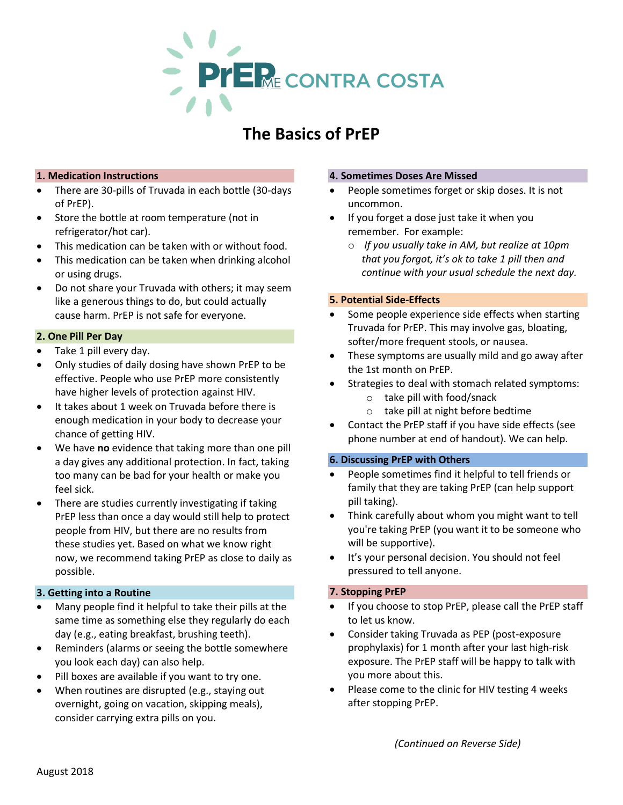

# **The Basics of PrEP**

# **1. Medication Instructions**

- There are 30-pills of Truvada in each bottle (30-days of PrEP).
- Store the bottle at room temperature (not in refrigerator/hot car).
- This medication can be taken with or without food.
- This medication can be taken when drinking alcohol or using drugs.
- Do not share your Truvada with others; it may seem like a generous things to do, but could actually cause harm. PrEP is not safe for everyone.

# **2. One Pill Per Day**

- Take 1 pill every day.
- Only studies of daily dosing have shown PrEP to be effective. People who use PrEP more consistently have higher levels of protection against HIV.
- It takes about 1 week on Truvada before there is enough medication in your body to decrease your chance of getting HIV.
- We have **no** evidence that taking more than one pill a day gives any additional protection. In fact, taking too many can be bad for your health or make you feel sick.
- There are studies currently investigating if taking PrEP less than once a day would still help to protect people from HIV, but there are no results from these studies yet. Based on what we know right now, we recommend taking PrEP as close to daily as possible.

#### **3. Getting into a Routine**

- Many people find it helpful to take their pills at the same time as something else they regularly do each day (e.g., eating breakfast, brushing teeth).
- Reminders (alarms or seeing the bottle somewhere you look each day) can also help.
- Pill boxes are available if you want to try one.
- When routines are disrupted (e.g., staying out overnight, going on vacation, skipping meals), consider carrying extra pills on you.

#### **4. Sometimes Doses Are Missed**

- People sometimes forget or skip doses. It is not uncommon.
- If you forget a dose just take it when you remember. For example:
	- o *If you usually take in AM, but realize at 10pm that you forgot, it's ok to take 1 pill then and continue with your usual schedule the next day.*

## **5. Potential Side-Effects**

- Some people experience side effects when starting Truvada for PrEP. This may involve gas, bloating, softer/more frequent stools, or nausea.
- These symptoms are usually mild and go away after the 1st month on PrEP.
- Strategies to deal with stomach related symptoms:
	- o take pill with food/snack
	- o take pill at night before bedtime
- Contact the PrEP staff if you have side effects (see phone number at end of handout). We can help.

#### **6. Discussing PrEP with Others**

- People sometimes find it helpful to tell friends or family that they are taking PrEP (can help support pill taking).
- Think carefully about whom you might want to tell you're taking PrEP (you want it to be someone who will be supportive).
- It's your personal decision. You should not feel pressured to tell anyone.

# **7. Stopping PrEP**

- If you choose to stop PrEP, please call the PrEP staff to let us know.
- Consider taking Truvada as PEP (post-exposure prophylaxis) for 1 month after your last high-risk exposure. The PrEP staff will be happy to talk with you more about this.
- Please come to the clinic for HIV testing 4 weeks after stopping PrEP.

*(Continued on Reverse Side)*